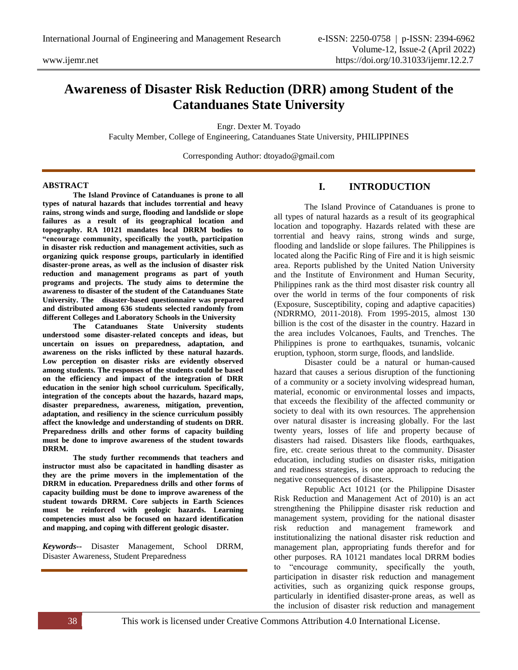# **Awareness of Disaster Risk Reduction (DRR) among Student of the Catanduanes State University**

Engr. Dexter M. Toyado

Faculty Member, College of Engineering, Catanduanes State University, PHILIPPINES

Corresponding Author: dtoyado@gmail.com

### **ABSTRACT**

**The Island Province of Catanduanes is prone to all types of natural hazards that includes torrential and heavy rains, strong winds and surge, flooding and landslide or slope failures as a result of its geographical location and topography. RA 10121 mandates local DRRM bodies to "encourage community, specifically the youth, participation in disaster risk reduction and management activities, such as organizing quick response groups, particularly in identified disaster-prone areas, as well as the inclusion of disaster risk reduction and management programs as part of youth programs and projects. The study aims to determine the awareness to disaster of the student of the Catanduanes State University. The disaster-based questionnaire was prepared and distributed among 636 students selected randomly from different Colleges and Laboratory Schools in the University**

**The Catanduanes State University students understood some disaster-related concepts and ideas, but uncertain on issues on preparedness, adaptation, and awareness on the risks inflicted by these natural hazards. Low perception on disaster risks are evidently observed among students. The responses of the students could be based on the efficiency and impact of the integration of DRR education in the senior high school curriculum. Specifically, integration of the concepts about the hazards, hazard maps, disaster preparedness, awareness, mitigation, prevention, adaptation, and resiliency in the science curriculum possibly affect the knowledge and understanding of students on DRR. Preparedness drills and other forms of capacity building must be done to improve awareness of the student towards DRRM.**

**The study further recommends that teachers and instructor must also be capacitated in handling disaster as they are the prime movers in the implementation of the DRRM in education. Preparedness drills and other forms of capacity building must be done to improve awareness of the student towards DRRM. Core subjects in Earth Sciences must be reinforced with geologic hazards. Learning competencies must also be focused on hazard identification and mapping, and coping with different geologic disaster.** 

*Keywords--* Disaster Management, School DRRM, Disaster Awareness, Student Preparedness

# **I. INTRODUCTION**

The Island Province of Catanduanes is prone to all types of natural hazards as a result of its geographical location and topography. Hazards related with these are torrential and heavy rains, strong winds and surge, flooding and landslide or slope failures. The Philippines is located along the Pacific Ring of Fire and it is high seismic area. Reports published by the United Nation University and the Institute of Environment and Human Security, Philippines rank as the third most disaster risk country all over the world in terms of the four components of risk (Exposure, Susceptibility, coping and adaptive capacities) (NDRRMO, 2011-2018). From 1995-2015, almost 130 billion is the cost of the disaster in the country. Hazard in the area includes Volcanoes, Faults, and Trenches. The Philippines is prone to earthquakes, tsunamis, volcanic eruption, typhoon, storm surge, floods, and landslide.

Disaster could be a natural or human-caused hazard that causes a serious disruption of the functioning of a community or a society involving widespread human, material, economic or environmental losses and impacts, that exceeds the flexibility of the affected community or society to deal with its own resources. The apprehension over natural disaster is increasing globally. For the last twenty years, losses of life and property because of disasters had raised. Disasters like floods, earthquakes, fire, etc. create serious threat to the community. Disaster education, including studies on disaster risks, mitigation and readiness strategies, is one approach to reducing the negative consequences of disasters.

Republic Act 10121 (or the Philippine Disaster Risk Reduction and Management Act of 2010) is an act strengthening the Philippine disaster risk reduction and management system, providing for the national disaster risk reduction and management framework and institutionalizing the national disaster risk reduction and management plan, appropriating funds therefor and for other purposes. RA 10121 mandates local DRRM bodies to "encourage community, specifically the youth, participation in disaster risk reduction and management activities, such as organizing quick response groups, particularly in identified disaster-prone areas, as well as the inclusion of disaster risk reduction and management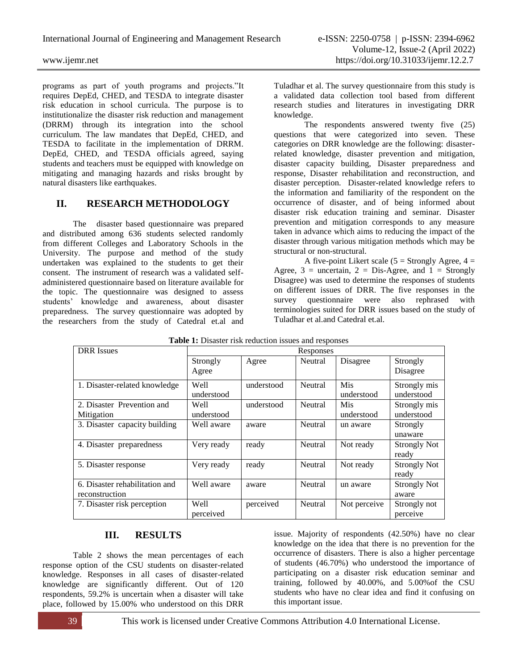programs as part of youth programs and projects."It requires DepEd, CHED, and TESDA to integrate disaster risk education in school curricula. The purpose is to institutionalize the disaster risk reduction and management (DRRM) through its integration into the school curriculum. The law mandates that DepEd, CHED, and TESDA to facilitate in the implementation of DRRM. DepEd, CHED, and TESDA officials agreed, saying students and teachers must be equipped with knowledge on mitigating and managing hazards and risks brought by natural disasters like earthquakes.

# **II. RESEARCH METHODOLOGY**

The disaster based questionnaire was prepared and distributed among 636 students selected randomly from different Colleges and Laboratory Schools in the University. The purpose and method of the study undertaken was explained to the students to get their consent. The instrument of research was a validated selfadministered questionnaire based on literature available for the topic. The questionnaire was designed to assess students' knowledge and awareness, about disaster preparedness. The survey questionnaire was adopted by the researchers from the study of Catedral et.al and

Tuladhar et al. The survey questionnaire from this study is a validated data collection tool based from different research studies and literatures in investigating DRR knowledge.

The respondents answered twenty five (25) questions that were categorized into seven. These categories on DRR knowledge are the following: disasterrelated knowledge, disaster prevention and mitigation, disaster capacity building, Disaster preparedness and response, Disaster rehabilitation and reconstruction, and disaster perception. Disaster-related knowledge refers to the information and familiarity of the respondent on the occurrence of disaster, and of being informed about disaster risk education training and seminar. Disaster prevention and mitigation corresponds to any measure taken in advance which aims to reducing the impact of the disaster through various mitigation methods which may be structural or non-structural.

A five-point Likert scale  $(5 =$  Strongly Agree,  $4 =$ Agree,  $3 =$  uncertain,  $2 =$  Dis-Agree, and  $1 =$  Strongly Disagree) was used to determine the responses of students on different issues of DRR. The five responses in the survey questionnaire were also rephrased with terminologies suited for DRR issues based on the study of Tuladhar et al.and Catedral et.al.

| <b>Table 1.</b> Disaster fish requetion issues and responses |            |            |           |              |                     |  |  |
|--------------------------------------------------------------|------------|------------|-----------|--------------|---------------------|--|--|
| <b>DRR</b> Issues                                            |            |            | Responses |              |                     |  |  |
|                                                              | Strongly   | Agree      | Neutral   | Disagree     | Strongly            |  |  |
|                                                              | Agree      |            |           |              | Disagree            |  |  |
| 1. Disaster-related knowledge                                | Well       | understood | Neutral   | Mis          | Strongly mis        |  |  |
|                                                              | understood |            |           | understood   | understood          |  |  |
| 2. Disaster Prevention and                                   | Well       | understood | Neutral   | Mis          | Strongly mis        |  |  |
| Mitigation                                                   | understood |            |           | understood   | understood          |  |  |
| 3. Disaster capacity building                                | Well aware | aware      | Neutral   | un aware     | Strongly            |  |  |
|                                                              |            |            |           |              | unaware             |  |  |
| 4. Disaster preparedness                                     | Very ready | ready      | Neutral   | Not ready    | <b>Strongly Not</b> |  |  |
|                                                              |            |            |           |              | ready               |  |  |
| 5. Disaster response                                         | Very ready | ready      | Neutral   | Not ready    | <b>Strongly Not</b> |  |  |
|                                                              |            |            |           |              | ready               |  |  |
| 6. Disaster rehabilitation and                               | Well aware | aware      | Neutral   | un aware     | <b>Strongly Not</b> |  |  |
| reconstruction                                               |            |            |           |              | aware               |  |  |
| 7. Disaster risk perception                                  | Well       | perceived  | Neutral   | Not perceive | Strongly not        |  |  |
|                                                              | perceived  |            |           |              | perceive            |  |  |

|  |  |  | Table 1: Disaster risk reduction issues and responses |
|--|--|--|-------------------------------------------------------|
|  |  |  |                                                       |

# **III. RESULTS**

Table 2 shows the mean percentages of each response option of the CSU students on disaster-related knowledge. Responses in all cases of disaster-related knowledge are significantly different. Out of 120 respondents, 59.2% is uncertain when a disaster will take place, followed by 15.00% who understood on this DRR issue. Majority of respondents (42.50%) have no clear knowledge on the idea that there is no prevention for the occurrence of disasters. There is also a higher percentage of students (46.70%) who understood the importance of participating on a disaster risk education seminar and training, followed by 40.00%, and 5.00%of the CSU students who have no clear idea and find it confusing on this important issue.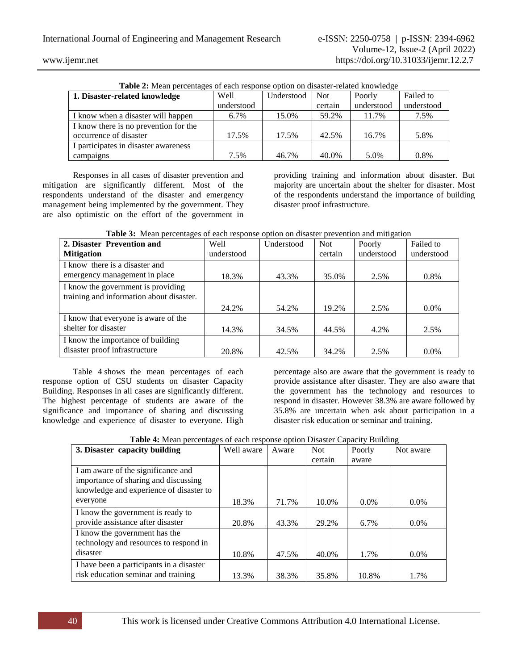| <b>Table 2:</b> Mean percentages of each response option on disaster-related knowledge |            |            |         |            |            |  |  |  |
|----------------------------------------------------------------------------------------|------------|------------|---------|------------|------------|--|--|--|
| 1. Disaster-related knowledge                                                          | Well       | Understood | Not     | Poorly     | Failed to  |  |  |  |
|                                                                                        | understood |            | certain | understood | understood |  |  |  |
| I know when a disaster will happen                                                     | 6.7%       | 15.0%      | 59.2%   | 11.7%      | 7.5%       |  |  |  |
| I know there is no prevention for the                                                  |            |            |         |            |            |  |  |  |
| occurrence of disaster                                                                 | 17.5%      | 17.5%      | 42.5%   | 16.7%      | 5.8%       |  |  |  |
| I participates in disaster awareness                                                   |            |            |         |            |            |  |  |  |
| campaigns                                                                              | 7.5%       | 46.7%      | 40.0%   | 5.0%       | 0.8%       |  |  |  |

**Table 2:** Mean percentages of each response option on disaster-related knowledge

Responses in all cases of disaster prevention and mitigation are significantly different. Most of the respondents understand of the disaster and emergency management being implemented by the government. They are also optimistic on the effort of the government in

providing training and information about disaster. But majority are uncertain about the shelter for disaster. Most of the respondents understand the importance of building disaster proof infrastructure.

| 2. Disaster Prevention and               | Well       | Understood | <b>Not</b> | Poorly     | Failed to  |
|------------------------------------------|------------|------------|------------|------------|------------|
| <b>Mitigation</b>                        | understood |            | certain    | understood | understood |
| I know there is a disaster and           |            |            |            |            |            |
| emergency management in place            | 18.3%      | 43.3%      | 35.0%      | 2.5%       | 0.8%       |
| I know the government is providing       |            |            |            |            |            |
| training and information about disaster. |            |            |            |            |            |
|                                          | 24.2%      | 54.2%      | 19.2%      | 2.5%       | $0.0\%$    |
| I know that everyone is aware of the     |            |            |            |            |            |
| shelter for disaster                     | 14.3%      | 34.5%      | 44.5%      | 4.2%       | 2.5%       |
| I know the importance of building        |            |            |            |            |            |
| disaster proof infrastructure            | 20.8%      | 42.5%      | 34.2%      | 2.5%       | $0.0\%$    |

|  |  |  |  |  |  | <b>Table 3:</b> Mean percentages of each response option on disaster prevention and mitigation |  |
|--|--|--|--|--|--|------------------------------------------------------------------------------------------------|--|
|--|--|--|--|--|--|------------------------------------------------------------------------------------------------|--|

Table 4 shows the mean percentages of each response option of CSU students on disaster Capacity Building. Responses in all cases are significantly different. The highest percentage of students are aware of the significance and importance of sharing and discussing knowledge and experience of disaster to everyone. High percentage also are aware that the government is ready to provide assistance after disaster. They are also aware that the government has the technology and resources to respond in disaster. However 38.3% are aware followed by 35.8% are uncertain when ask about participation in a disaster risk education or seminar and training.

|  | Table 4: Mean percentages of each response option Disaster Capacity Building |  |  |
|--|------------------------------------------------------------------------------|--|--|
|--|------------------------------------------------------------------------------|--|--|

| 3. Disaster capacity building            | Well aware | Aware | <b>Not</b> | Poorly  | Not aware |
|------------------------------------------|------------|-------|------------|---------|-----------|
|                                          |            |       | certain    | aware   |           |
| I am aware of the significance and       |            |       |            |         |           |
| importance of sharing and discussing     |            |       |            |         |           |
| knowledge and experience of disaster to  |            |       |            |         |           |
| everyone                                 | 18.3%      | 71.7% | 10.0%      | $0.0\%$ | $0.0\%$   |
| I know the government is ready to        |            |       |            |         |           |
| provide assistance after disaster        | 20.8%      | 43.3% | 29.2%      | 6.7%    | $0.0\%$   |
| I know the government has the            |            |       |            |         |           |
| technology and resources to respond in   |            |       |            |         |           |
| disaster                                 | 10.8%      | 47.5% | 40.0%      | 1.7%    | $0.0\%$   |
| I have been a participants in a disaster |            |       |            |         |           |
| risk education seminar and training      | 13.3%      | 38.3% | 35.8%      | 10.8%   | 1.7%      |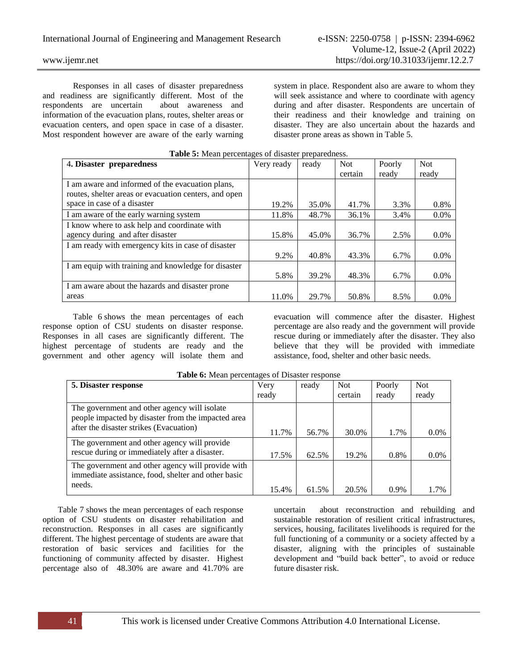Responses in all cases of disaster preparedness and readiness are significantly different. Most of the respondents are uncertain about awareness and information of the evacuation plans, routes, shelter areas or evacuation centers, and open space in case of a disaster. Most respondent however are aware of the early warning

system in place. Respondent also are aware to whom they will seek assistance and where to coordinate with agency during and after disaster. Respondents are uncertain of their readiness and their knowledge and training on disaster. They are also uncertain about the hazards and disaster prone areas as shown in Table 5.

| <b>Tuble of Mount percentages of disaster preparedness.</b> |            |       |            |        |            |  |
|-------------------------------------------------------------|------------|-------|------------|--------|------------|--|
| 4. Disaster preparedness                                    | Very ready | ready | <b>Not</b> | Poorly | <b>Not</b> |  |
|                                                             |            |       | certain    | ready  | ready      |  |
| I am aware and informed of the evacuation plans,            |            |       |            |        |            |  |
| routes, shelter areas or evacuation centers, and open       |            |       |            |        |            |  |
| space in case of a disaster                                 | 19.2%      | 35.0% | 41.7%      | 3.3%   | 0.8%       |  |
| I am aware of the early warning system                      | 11.8%      | 48.7% | 36.1%      | 3.4%   | $0.0\%$    |  |
| I know where to ask help and coordinate with                |            |       |            |        |            |  |
| agency during and after disaster                            | 15.8%      | 45.0% | 36.7%      | 2.5%   | 0.0%       |  |
| I am ready with emergency kits in case of disaster          |            |       |            |        |            |  |
|                                                             | 9.2%       | 40.8% | 43.3%      | 6.7%   | $0.0\%$    |  |
| I am equip with training and knowledge for disaster         |            |       |            |        |            |  |
|                                                             | 5.8%       | 39.2% | 48.3%      | 6.7%   | $0.0\%$    |  |
| I am aware about the hazards and disaster prone             |            |       |            |        |            |  |
| areas                                                       | 11.0%      | 29.7% | 50.8%      | 8.5%   | $0.0\%$    |  |

### **Table 5:** Mean percentages of disaster preparedness.

Table 6 shows the mean percentages of each response option of CSU students on disaster response. Responses in all cases are significantly different. The highest percentage of students are ready and the government and other agency will isolate them and

evacuation will commence after the disaster. Highest percentage are also ready and the government will provide rescue during or immediately after the disaster. They also believe that they will be provided with immediate assistance, food, shelter and other basic needs.

| <b>Those</b> of mean percentages of <i>Disaster</i> response                                             |       |       |            |         |            |  |
|----------------------------------------------------------------------------------------------------------|-------|-------|------------|---------|------------|--|
| 5. Disaster response                                                                                     | Very  | ready | <b>Not</b> | Poorly  | <b>Not</b> |  |
|                                                                                                          | ready |       | certain    | ready   | ready      |  |
| The government and other agency will isolate<br>people impacted by disaster from the impacted area       |       |       |            |         |            |  |
| after the disaster strikes (Evacuation)                                                                  | 11.7% | 56.7% | 30.0%      | 1.7%    | $0.0\%$    |  |
| The government and other agency will provide<br>rescue during or immediately after a disaster.           | 17.5% | 62.5% | 19.2%      | 0.8%    | $0.0\%$    |  |
| The government and other agency will provide with<br>immediate assistance, food, shelter and other basic |       |       |            |         |            |  |
| needs.                                                                                                   | 15.4% | 61.5% | 20.5%      | $0.9\%$ | 1.7%       |  |

**Table 6:** Mean percentages of Disaster response

Table 7 shows the mean percentages of each response option of CSU students on disaster rehabilitation and reconstruction. Responses in all cases are significantly different. The highest percentage of students are aware that restoration of basic services and facilities for the functioning of community affected by disaster. Highest percentage also of 48.30% are aware and 41.70% are

uncertain about reconstruction and rebuilding and sustainable restoration of resilient critical infrastructures, services, housing, facilitates livelihoods is required for the full functioning of a community or a society affected by a disaster, aligning with the principles of sustainable development and "build back better", to avoid or reduce future disaster risk.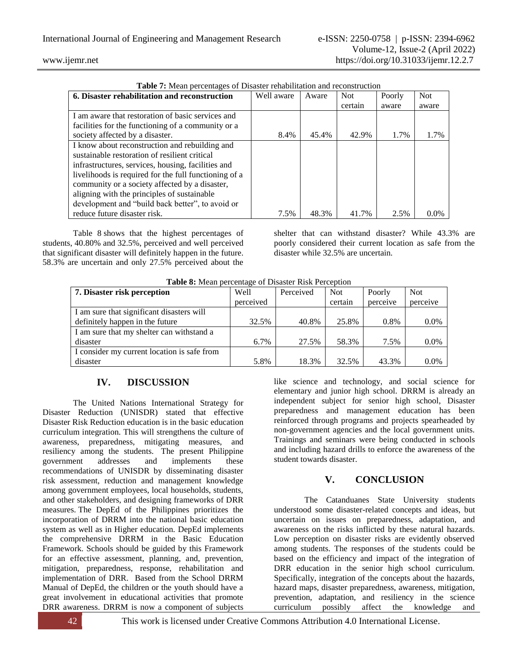| <b>Table 1.</b> Micall percentages of Disaster renaomiation and reconstruction |            |       | <b>Not</b> |        |            |
|--------------------------------------------------------------------------------|------------|-------|------------|--------|------------|
| 6. Disaster rehabilitation and reconstruction                                  | Well aware | Aware |            | Poorly | <b>Not</b> |
|                                                                                |            |       | certain    | aware  | aware      |
| I am aware that restoration of basic services and                              |            |       |            |        |            |
| facilities for the functioning of a community or a                             |            |       |            |        |            |
| society affected by a disaster.                                                | 8.4%       | 45.4% | 42.9%      | 1.7%   | 1.7%       |
| I know about reconstruction and rebuilding and                                 |            |       |            |        |            |
| sustainable restoration of resilient critical                                  |            |       |            |        |            |
| infrastructures, services, housing, facilities and                             |            |       |            |        |            |
| livelihoods is required for the full functioning of a                          |            |       |            |        |            |
| community or a society affected by a disaster,                                 |            |       |            |        |            |
| aligning with the principles of sustainable                                    |            |       |            |        |            |
| development and "build back better", to avoid or                               |            |       |            |        |            |
| reduce future disaster risk.                                                   | 7.5%       | 48.3% | 41.7%      | 2.5%   | $0.0\%$    |

**Table 7:** Mean percentages of Disaster rehabilitation and reconstruction

Table 8 shows that the highest percentages of students, 40.80% and 32.5%, perceived and well perceived that significant disaster will definitely happen in the future. 58.3% are uncertain and only 27.5% perceived about the

shelter that can withstand disaster? While 43.3% are poorly considered their current location as safe from the disaster while 32.5% are uncertain.

| <b>Table 8:</b> Mean percentage of Disaster Risk Perception |           |           |            |          |            |  |  |  |
|-------------------------------------------------------------|-----------|-----------|------------|----------|------------|--|--|--|
| 7. Disaster risk perception                                 | Well      | Perceived | <b>Not</b> | Poorly   | <b>Not</b> |  |  |  |
|                                                             | perceived |           | certain    | perceive | perceive   |  |  |  |
| I am sure that significant disasters will                   |           |           |            |          |            |  |  |  |
| definitely happen in the future                             | 32.5%     | 40.8%     | 25.8%      | 0.8%     | $0.0\%$    |  |  |  |
| I am sure that my shelter can withstand a                   |           |           |            |          |            |  |  |  |
| disaster                                                    | 6.7%      | 27.5%     | 58.3%      | 7.5%     | $0.0\%$    |  |  |  |
| I consider my current location is safe from                 |           |           |            |          |            |  |  |  |
| disaster                                                    | 5.8%      | 18.3%     | 32.5%      | 43.3%    | 0.0%       |  |  |  |

**Table 8:** Mean percentage of Disaster Risk Perception

# **IV. DISCUSSION**

The United Nations International Strategy for Disaster Reduction (UNISDR) stated that effective Disaster Risk Reduction education is in the basic education curriculum integration. This will strengthens the culture of awareness, preparedness, mitigating measures, and resiliency among the students. The present Philippine government addresses and implements these recommendations of UNISDR by disseminating disaster risk assessment, reduction and management knowledge among government employees, local households, students, and other stakeholders, and designing frameworks of DRR measures. The DepEd of the Philippines prioritizes the incorporation of DRRM into the national basic education system as well as in Higher education. DepEd implements the comprehensive DRRM in the Basic Education Framework. Schools should be guided by this Framework for an effective assessment, planning, and, prevention, mitigation, preparedness, response, rehabilitation and implementation of DRR. Based from the School DRRM Manual of DepEd, the children or the youth should have a great involvement in educational activities that promote DRR awareness. DRRM is now a component of subjects

42 This work is licensed under Creative Commons Attribution 4.0 International License.

like science and technology, and social science for elementary and junior high school. DRRM is already an independent subject for senior high school, Disaster preparedness and management education has been reinforced through programs and projects spearheaded by non-government agencies and the local government units. Trainings and seminars were being conducted in schools and including hazard drills to enforce the awareness of the student towards disaster.

# **V. CONCLUSION**

The Catanduanes State University students understood some disaster-related concepts and ideas, but uncertain on issues on preparedness, adaptation, and awareness on the risks inflicted by these natural hazards. Low perception on disaster risks are evidently observed among students. The responses of the students could be based on the efficiency and impact of the integration of DRR education in the senior high school curriculum. Specifically, integration of the concepts about the hazards, hazard maps, disaster preparedness, awareness, mitigation, prevention, adaptation, and resiliency in the science curriculum possibly affect the knowledge and